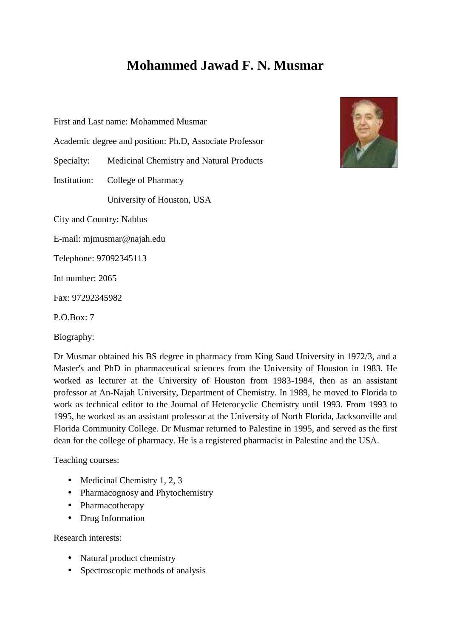## **Mohammed Jawad F. N. Musmar**

First and Last name: Mohammed Musmar

Academic degree and position: Ph.D, Associate Professor

Specialty: Medicinal Chemistry and Natural Products

Institution: College of Pharmacy

University of Houston, USA

City and Country: Nablus

E-mail: mjmusmar@najah.edu

Telephone: 97092345113

Int number: 2065

Fax: 97292345982

P.O.Box: 7

Biography:

Dr Musmar obtained his BS degree in pharmacy from King Saud University in 1972/3, and a Master's and PhD in pharmaceutical sciences from the University of Houston in 1983. He worked as lecturer at the University of Houston from 1983-1984, then as an assistant professor at An-Najah University, Department of Chemistry. In 1989, he moved to Florida to work as technical editor to the Journal of Heterocyclic Chemistry until 1993. From 1993 to 1995, he worked as an assistant professor at the University of North Florida, Jacksonville and Florida Community College. Dr Musmar returned to Palestine in 1995, and served as the first dean for the college of pharmacy. He is a registered pharmacist in Palestine and the USA.

Teaching courses:

- Medicinal Chemistry 1, 2, 3
- Pharmacognosy and Phytochemistry
- Pharmacotherapy
- Drug Information

Research interests:

- Natural product chemistry
- Spectroscopic methods of analysis